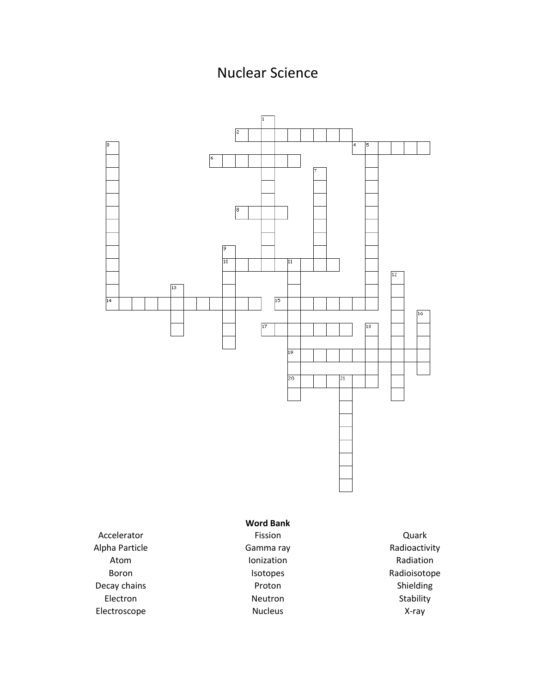## Nuclear Science



Electron Electroscope

Nucleus

Stability X-ray